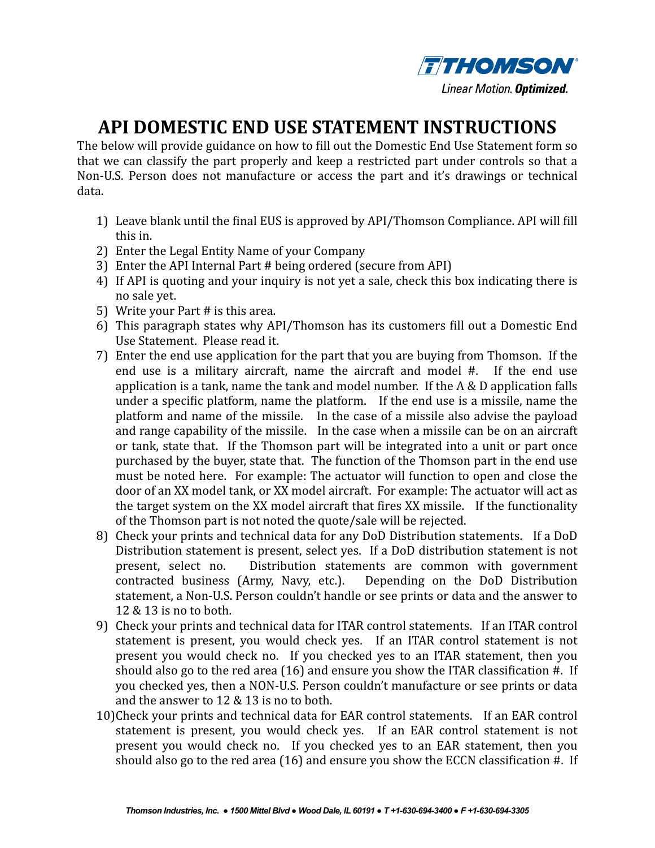

## **API DOMESTIC END USE STATEMENT INSTRUCTIONS**

The below will provide guidance on how to fill out the Domestic End Use Statement form so that we can classify the part properly and keep a restricted part under controls so that a Non-U.S. Person does not manufacture or access the part and it's drawings or technical data. 

- 1) Leave blank until the final EUS is approved by API/Thomson Compliance. API will fill this in.
- 2) Enter the Legal Entity Name of your Company
- 3) Enter the API Internal Part # being ordered (secure from API)
- 4) If API is quoting and your inquiry is not yet a sale, check this box indicating there is no sale vet.
- 5) Write your Part  $#$  is this area.
- 6) This paragraph states why API/Thomson has its customers fill out a Domestic End Use Statement. Please read it.
- 7) Enter the end use application for the part that you are buying from Thomson. If the end use is a military aircraft, name the aircraft and model  $#$ . If the end use application is a tank, name the tank and model number. If the  $A \& D$  application falls under a specific platform, name the platform. If the end use is a missile, name the platform and name of the missile. In the case of a missile also advise the payload and range capability of the missile. In the case when a missile can be on an aircraft or tank, state that. If the Thomson part will be integrated into a unit or part once purchased by the buyer, state that. The function of the Thomson part in the end use must be noted here. For example: The actuator will function to open and close the door of an XX model tank, or XX model aircraft. For example: The actuator will act as the target system on the XX model aircraft that fires XX missile. If the functionality of the Thomson part is not noted the quote/sale will be rejected.
- 8) Check your prints and technical data for any DoD Distribution statements. If a DoD Distribution statement is present, select yes. If a DoD distribution statement is not present, select no. Distribution statements are common with government contracted business (Army, Navy, etc.). Depending on the DoD Distribution statement, a Non-U.S. Person couldn't handle or see prints or data and the answer to  $12 \& 13$  is no to both.
- 9) Check your prints and technical data for ITAR control statements. If an ITAR control statement is present, you would check yes. If an ITAR control statement is not present vou would check no. If you checked ves to an ITAR statement, then you should also go to the red area  $(16)$  and ensure you show the ITAR classification #. If you checked yes, then a NON-U.S. Person couldn't manufacture or see prints or data and the answer to  $12 \& 13$  is no to both.
- 10)Check your prints and technical data for EAR control statements. If an EAR control statement is present, you would check yes. If an EAR control statement is not present you would check no. If you checked ves to an EAR statement, then you should also go to the red area (16) and ensure you show the ECCN classification  $#$ . If